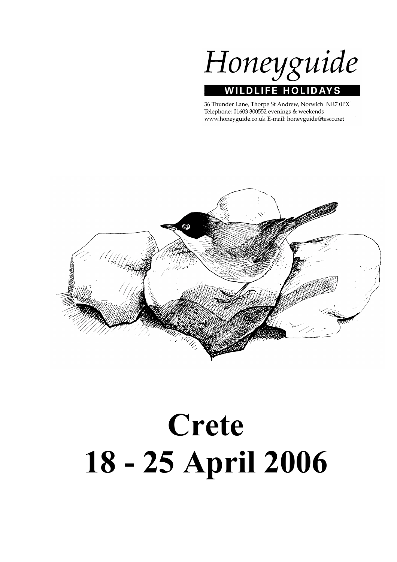

36 Thunder Lane, Thorpe St Andrew, Norwich NR7 0PX Telephone: 01603 300552 evenings & weekends www.honeyguide.co.uk E-mail: honeyguide@tesco.net



# Crete 18 - 25 April 2006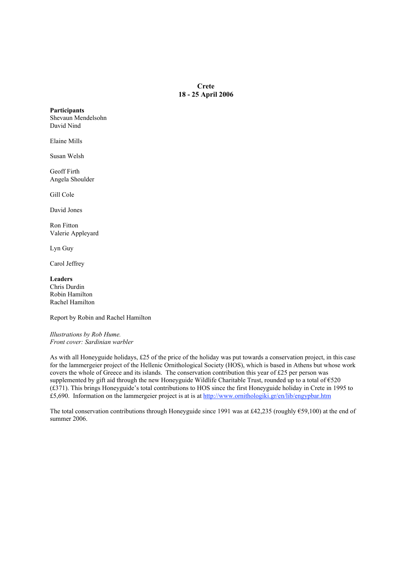**Crete** 18 - 25 April 2006

**Participants** Shevaun Mendelsohn David Nind

Elaine Mills

Susan Welsh

Geoff Firth Angela Shoulder

Gill Cole

David Jones

Ron Fitton Valerie Appleyard

Lyn Guy

Carol Jeffrey

Leaders Chris Durdin Robin Hamilton Rachel Hamilton

Report by Robin and Rachel Hamilton

*Illustrations by Rob Hume. Front cover: Sardinian warbler*

As with all Honeyguide holidays, £25 of the price of the holiday was put towards a conservation project, in this case for the lammergeier project of the Hellenic Ornithological Society (HOS), which is based in Athens but whose work covers the whole of Greece and its islands. The conservation contribution this year of £25 per person was supplemented by gift aid through the new Honeyguide Wildlife Charitable Trust, rounded up to a total of  $\epsilon$ 520 (£371). This brings Honeyguide's total contributions to HOS since the first Honeyguide holiday in Crete in 1995 to £5,690. Information on the lammergeier project is at is at http://www.ornithologiki.gr/en/lib/engypbar.htm

The total conservation contributions through Honeyguide since 1991 was at £42,235 (roughly €59,100) at the end of summer 2006.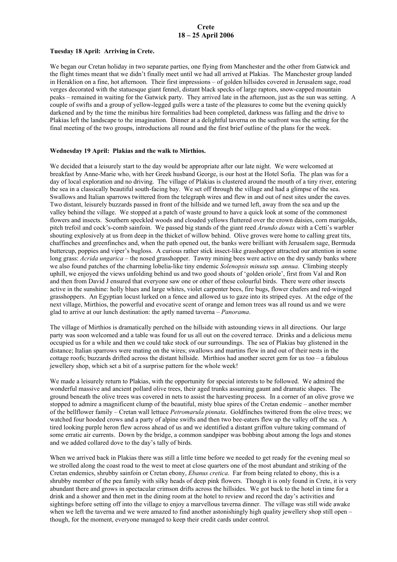# Crete 18 – 25 April 2006

#### Tuesday 18 April: Arriving in Crete.

We began our Cretan holiday in two separate parties, one flying from Manchester and the other from Gatwick and the flight times meant that we didn't finally meet until we had all arrived at Plakias. The Manchester group landed in Heraklion on a fine, hot afternoon. Their first impressions – of golden hillsides covered in Jerusalem sage, road verges decorated with the statuesque giant fennel, distant black specks of large raptors, snow-capped mountain peaks – remained in waiting for the Gatwick party. They arrived late in the afternoon, just as the sun was setting. A couple of swifts and a group of yellow-legged gulls were a taste of the pleasures to come but the evening quickly darkened and by the time the minibus hire formalities had been completed, darkness was falling and the drive to Plakias left the landscape to the imagination. Dinner at a delightful taverna on the seafront was the setting for the final meeting of the two groups, introductions all round and the first brief outline of the plans for the week.

## Wednesday 19 April: Plakias and the walk to Mirthios.

We decided that a leisurely start to the day would be appropriate after our late night. We were welcomed at breakfast by Anne-Marie who, with her Greek husband George, is our host at the Hotel Sofia. The plan was for a day of local exploration and no driving. The village of Plakias is clustered around the mouth of a tiny river, entering the sea in a classically beautiful south-facing bay. We set off through the village and had a glimpse of the sea. Swallows and Italian sparrows twittered from the telegraph wires and flew in and out of nest sites under the eaves. Two distant, leisurely buzzards passed in front of the hillside and we turned left, away from the sea and up the valley behind the village. We stopped at a patch of waste ground to have a quick look at some of the commonest flowers and insects. Southern speckled woods and clouded yellows fluttered over the crown daisies, corn marigolds, pitch trefoil and cock's-comb sainfoin. We passed big stands of the giant reed *Arundo donax* with a Cetti's warbler shouting explosively at us from deep in the thicket of willow behind. Olive groves were home to calling great tits, chaffinches and greenfinches and, when the path opened out, the banks were brilliant with Jerusalem sage, Bermuda buttercup, poppies and viper's bugloss. A curious rather stick insect-like grasshopper attracted our attention in some long grass: *Acrida ungarica* – the nosed grasshopper. Tawny mining bees were active on the dry sandy banks where we also found patches of the charming lobelia-like tiny endemic *Solenopsis minuta* ssp*. annua*. Climbing steeply uphill, we enjoyed the views unfolding behind us and two good shouts of 'golden oriole', first from Val and Ron and then from David J ensured that everyone saw one or other of these colourful birds. There were other insects active in the sunshine: holly blues and large whites, violet carpenter bees, fire bugs, flower chafers and red-winged grasshoppers. An Egyptian locust lurked on a fence and allowed us to gaze into its striped eyes. At the edge of the next village, Mirthios, the powerful and evocative scent of orange and lemon trees was all round us and we were glad to arrive at our lunch destination: the aptly named taverna – *Panorama*.

The village of Mirthios is dramatically perched on the hillside with astounding views in all directions. Our large party was soon welcomed and a table was found for us all out on the covered terrace. Drinks and a delicious menu occupied us for a while and then we could take stock of our surroundings. The sea of Plakias bay glistened in the distance; Italian sparrows were mating on the wires; swallows and martins flew in and out of their nests in the cottage roofs; buzzards drifted across the distant hillside. Mirthios had another secret gem for us too – a fabulous jewellery shop, which set a bit of a surprise pattern for the whole week!

We made a leisurely return to Plakias, with the opportunity for special interests to be followed. We admired the wonderful massive and ancient pollard olive trees, their aged trunks assuming gaunt and dramatic shapes. The ground beneath the olive trees was covered in nets to assist the harvesting process. In a corner of an olive grove we stopped to admire a magnificent clump of the beautiful, misty blue spires of the Cretan endemic – another member of the bellflower family – Cretan wall lettuce *Petromarula pinnata*. Goldfinches twittered from the olive trees; we watched four hooded crows and a party of alpine swifts and then two bee-eaters flew up the valley off the sea. A tired looking purple heron flew across ahead of us and we identified a distant griffon vulture taking command of some erratic air currents. Down by the bridge, a common sandpiper was bobbing about among the logs and stones and we added collared dove to the day's tally of birds.

When we arrived back in Plakias there was still a little time before we needed to get ready for the evening meal so we strolled along the coast road to the west to meet at close quarters one of the most abundant and striking of the Cretan endemics, shrubby sainfoin or Cretan ebony, *Ebanus cretica*. Far from being related to ebony, this is a shrubby member of the pea family with silky heads of deep pink flowers. Though it is only found in Crete, it is very abundant there and grows in spectacular crimson drifts across the hillsides. We got back to the hotel in time for a drink and a shower and then met in the dining room at the hotel to review and record the day's activities and sightings before setting off into the village to enjoy a marvellous taverna dinner. The village was still wide awake when we left the taverna and we were amazed to find another astonishingly high quality jewellery shop still open – though, for the moment, everyone managed to keep their credit cards under control.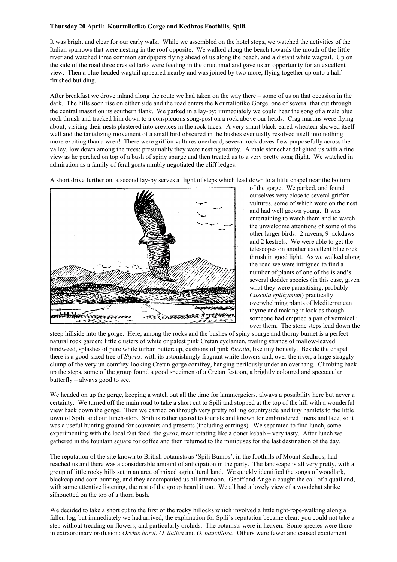# Thursday 20 April: Kourtaliotiko Gorge and Kedhros Foothills, Spili.

It was bright and clear for our early walk. While we assembled on the hotel steps, we watched the activities of the Italian sparrows that were nesting in the roof opposite. We walked along the beach towards the mouth of the little river and watched three common sandpipers flying ahead of us along the beach, and a distant white wagtail. Up on the side of the road three crested larks were feeding in the dried mud and gave us an opportunity for an excellent view. Then a blue-headed wagtail appeared nearby and was joined by two more, flying together up onto a halffinished building.

After breakfast we drove inland along the route we had taken on the way there – some of us on that occasion in the dark. The hills soon rise on either side and the road enters the Kourtaliotiko Gorge, one of several that cut through the central massif on its southern flank. We parked in a lay-by; immediately we could hear the song of a male blue rock thrush and tracked him down to a conspicuous song-post on a rock above our heads. Crag martins were flying about, visiting their nests plastered into crevices in the rock faces. A very smart black-eared wheatear showed itself well and the tantalizing movement of a small bird obscured in the bushes eventually resolved itself into nothing more exciting than a wren! There were griffon vultures overhead; several rock doves flew purposefully across the valley, low down among the trees; presumably they were nesting nearby. A male stonechat delighted us with a fine view as he perched on top of a bush of spiny spurge and then treated us to a very pretty song flight. We watched in admiration as a family of feral goats nimbly negotiated the cliff ledges.

A short drive further on, a second lay-by serves a flight of steps which lead down to a little chapel near the bottom



of the gorge. We parked, and found ourselves very close to several griffon vultures, some of which were on the nest and had well grown young. It was entertaining to watch them and to watch the unwelcome attentions of some of the other larger birds: 2 ravens, 9 jackdaws and 2 kestrels. We were able to get the telescopes on another excellent blue rock thrush in good light. As we walked along the road we were intrigued to find a number of plants of one of the island's several dodder species (in this case, given what they were parasitising, probably *Cuscuta epithymum*) practically overwhelming plants of Mediterranean thyme and making it look as though someone had emptied a pan of vermicelli over them. The stone steps lead down the

steep hillside into the gorge. Here, among the rocks and the bushes of spiny spurge and thorny burnet is a perfect natural rock garden: little clusters of white or palest pink Cretan cyclamen, trailing strands of mallow-leaved bindweed, splashes of pure white turban buttercup, cushions of pink *Ricotia*, like tiny honesty. Beside the chapel there is a good-sized tree of *Styrax,* with its astonishingly fragrant white flowers and, over the river, a large straggly clump of the very un-comfrey-looking Cretan gorge comfrey, hanging perilously under an overhang. Climbing back up the steps, some of the group found a good specimen of a Cretan festoon, a brightly coloured and spectacular butterfly – always good to see.

We headed on up the gorge, keeping a watch out all the time for lammergeiers, always a possibility here but never a certainty. We turned off the main road to take a short cut to Spili and stopped at the top of the hill with a wonderful view back down the gorge. Then we carried on through very pretty rolling countryside and tiny hamlets to the little town of Spili, and our lunch-stop. Spili is rather geared to tourists and known for embroidered linens and lace, so it was a useful hunting ground for souvenirs and presents (including earrings). We separated to find lunch, some experimenting with the local fast food, the *gyros*, meat rotating like a doner kebab – very tasty. After lunch we gathered in the fountain square for coffee and then returned to the minibuses for the last destination of the day.

The reputation of the site known to British botanists as 'Spili Bumps', in the foothills of Mount Kedhros, had reached us and there was a considerable amount of anticipation in the party. The landscape is all very pretty, with a group of little rocky hills set in an area of mixed agricultural land. We quickly identified the songs of woodlark, blackcap and corn bunting, and they accompanied us all afternoon. Geoff and Angela caught the call of a quail and, with some attentive listening, the rest of the group heard it too. We all had a lovely view of a woodchat shrike silhouetted on the top of a thorn bush.

We decided to take a short cut to the first of the rocky hillocks which involved a little tight-rope-walking along a fallen log, but immediately we had arrived, the explanation for Spili's reputation became clear: you could not take a step without treading on flowers, and particularly orchids. The botanists were in heaven. Some species were there in extraordinary profusion: *Orchis boryi*, *O. italica* and *O. pauciflora*. Others were fewer and caused excitement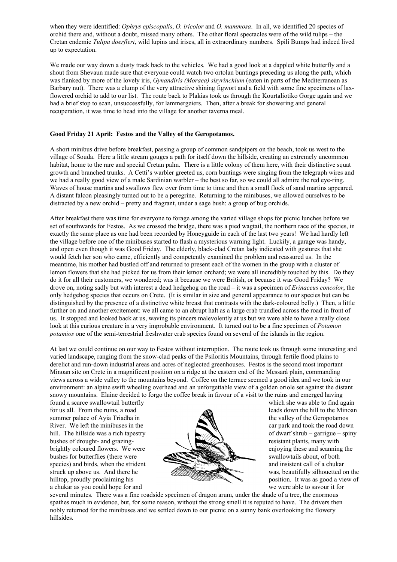when they were identified: *Ophrys episcopalis*, *O. iricolor* and *O. mammosa*. In all, we identified 20 species of orchid there and, without a doubt, missed many others. The other floral spectacles were of the wild tulips – the Cretan endemic *Tulipa doerfleri*, wild lupins and irises, all in extraordinary numbers. Spili Bumps had indeed lived up to expectation.

We made our way down a dusty track back to the vehicles. We had a good look at a dappled white butterfly and a shout from Shevaun made sure that everyone could watch two ortolan buntings preceding us along the path, which was flanked by more of the lovely iris, *Gynandiris (Moraea) sisyrinchium* (eaten in parts of the Mediterranean as Barbary nut). There was a clump of the very attractive shining figwort and a field with some fine specimens of laxflowered orchid to add to our list. The route back to Plakias took us through the Kourtaliotiko Gorge again and we had a brief stop to scan, unsuccessfully, for lammergeiers. Then, after a break for showering and general recuperation, it was time to head into the village for another taverna meal.

## Good Friday 21 April: Festos and the Valley of the Geropotamos.

A short minibus drive before breakfast, passing a group of common sandpipers on the beach, took us west to the village of Souda. Here a little stream gouges a path for itself down the hillside, creating an extremely uncommon habitat, home to the rare and special Cretan palm. There is a little colony of them here, with their distinctive squat growth and branched trunks. A Cetti's warbler greeted us, corn buntings were singing from the telegraph wires and we had a really good view of a male Sardinian warbler – the best so far, so we could all admire the red eye-ring. Waves of house martins and swallows flew over from time to time and then a small flock of sand martins appeared. A distant falcon pleasingly turned out to be a peregrine. Returning to the minibuses, we allowed ourselves to be distracted by a new orchid – pretty and fragrant, under a sage bush: a group of bug orchids.

After breakfast there was time for everyone to forage among the varied village shops for picnic lunches before we set of southwards for Festos. As we crossed the bridge, there was a pied wagtail, the northern race of the species, in exactly the same place as one had been recorded by Honeyguide in each of the last two years! We had hardly left the village before one of the minibuses started to flash a mysterious warning light. Luckily, a garage was handy, and open even though it was Good Friday. The elderly, black-clad Cretan lady indicated with gestures that she would fetch her son who came, efficiently and competently examined the problem and reassured us. In the meantime, his mother had bustled off and returned to present each of the women in the group with a cluster of lemon flowers that she had picked for us from their lemon orchard; we were all incredibly touched by this. Do they do it for all their customers, we wondered; was it because we were British, or because it was Good Friday? We drove on, noting sadly but with interest a dead hedgehog on the road – it was a specimen of *Erinaceus concolor*, the only hedgehog species that occurs on Crete. (It is similar in size and general appearance to our species but can be distinguished by the presence of a distinctive white breast that contrasts with the dark-coloured belly.) Then, a little further on and another excitement: we all came to an abrupt halt as a large crab trundled across the road in front of us. It stopped and looked back at us, waving its pincers malevolently at us but we were able to have a really close look at this curious creature in a very improbable environment. It turned out to be a fine specimen of *Potamon potamios* one of the semi-terrestrial freshwater crab species found on several of the islands in the region.

At last we could continue on our way to Festos without interruption. The route took us through some interesting and varied landscape, ranging from the snow-clad peaks of the Psiloritis Mountains, through fertile flood plains to derelict and run-down industrial areas and acres of neglected greenhouses. Festos is the second most important Minoan site on Crete in a magnificent position on a ridge at the eastern end of the Messará plain, commanding views across a wide valley to the mountains beyond. Coffee on the terrace seemed a good idea and we took in our environment: an alpine swift wheeling overhead and an unforgettable view of a golden oriole set against the distant snowy mountains. Elaine decided to forgo the coffee break in favour of a visit to the ruins and emerged having

found a scarce swallowtail butterfly the state of the which she was able to find again



several minutes. There was a fine roadside specimen of dragon arum, under the shade of a tree, the enormous spathes much in evidence, but, for some reason, without the strong smell it is reputed to have. The drivers then nobly returned for the minibuses and we settled down to our picnic on a sunny bank overlooking the flowery hillsides.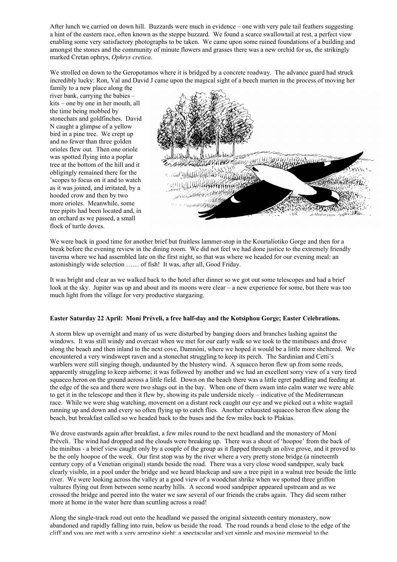After lunch we carried on down hill. Buzzards were much in evidence – one with very pale tail feathers suggesting a hint of the eastern race, often known as the steppe buzzard. We found a scarce swallowtail at rest, a perfect view enabling some very satisfactory photographs to be taken. We came upon some ruined foundations of a building and amongst the stones and the community of minute flowers and grasses there was a new orchid for us, the strikingly marked Cretan ophrys, *Ophrys cretica*.

We strolled on down to the Geropotamos where it is bridged by a concrete roadway. The advance guard had struck incredibly lucky: Ron, Val and David J came upon the magical sight of a beech marten in the process of moving her

family to a new place along the river bank, carrying the babies – kits – one by one in her mouth, all the time being mobbed by stonechats and goldfinches. David N caught a glimpse of a yellow bird in a pine tree. We crept up and no fewer than three golden orioles flew out. Then one oriole was spotted flying into a poplar tree at the bottom of the hill and it obligingly remained there for the 'scopes to focus on it and to watch as it was joined, and irritated, by a hooded crow and then by two more orioles. Meanwhile, some tree pipits had been located and, in an orchard as we passed, a small flock of turtle doves.



We were back in good time for another brief but fruitless lammer-stop in the Kourtaliotiko Gorge and then for a break before the evening review in the dining room. We did not feel we had done justice to the extremely friendly taverna where we had assembled late on the first night, so that was where we headed for our evening meal: an astonishingly wide selection …… of fish! It was, after all, Good Friday.

It was bright and clear as we walked back to the hotel after dinner so we got out some telescopes and had a brief look at the sky. Jupiter was up and about and its moons were clear – a new experience for some, but there was too much light from the village for very productive stargazing.

## Easter Saturday 22 April: Moní Préveli, a free half-day and the Kotsiphou Gorge; Easter Celebrations.

A storm blew up overnight and many of us were disturbed by banging doors and branches lashing against the windows. It was still windy and overcast when we met for our early walk so we took to the minibuses and drove along the beach and then inland to the next cove, Damnóni, where we hoped it would be a little more sheltered. We encountered a very windswept raven and a stonechat struggling to keep its perch. The Sardinian and Cetti's warblers were still singing though, undaunted by the blustery wind. A squacco heron flew up from some reeds, apparently struggling to keep airborne; it was followed by another and we had an excellent sorry view of a very tired squacco heron on the ground across a little field. Down on the beach there was a little egret paddling and feeding at the edge of the sea and there were two shags out in the bay. When one of them swam into calm water we were able to get it in the telescope and then it flew by, showing its pale underside nicely – indicative of the Mediterranean race. While we were shag watching, movement on a distant rock caught our eye and we picked out a white wagtail running up and down and every so often flying up to catch flies. Another exhausted squacco heron flew along the beach, but breakfast called so we headed back to the buses and the few miles back to Plakias.

We drove eastwards again after breakfast, a few miles round to the next headland and the monastery of Moní Préveli. The wind had dropped and the clouds were breaking up. There was a shout of 'hoopoe' from the back of the minibus - a brief view caught only by a couple of the group as it flapped through an olive grove, and it proved to be the only hoopoe of the week. Our first stop was by the river where a very pretty stone bridge (a nineteenth century copy of a Venetian original) stands beside the road. There was a very close wood sandpiper, scaly back clearly visible, in a pool under the bridge and we heard blackcap and saw a tree pipit in a walnut tree beside the little river. We were looking across the valley at a good view of a woodchat shrike when we spotted three griffon vultures flying out from between some nearby hills. A second wood sandpiper appeared upstream and as we crossed the bridge and peered into the water we saw several of our friends the crabs again. They did seem rather more at home in the water here than scuttling across a road!

Along the single-track road out onto the headland we passed the original sixteenth century monastery, now abandoned and rapidly falling into ruin, below us beside the road. The road rounds a bend close to the edge of the cliff and you are met with a very arresting sight: a spectacular and yet simple and moving memorial to the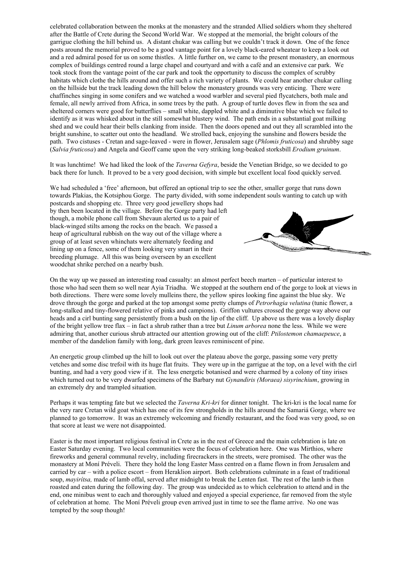celebrated collaboration between the monks at the monastery and the stranded Allied soldiers whom they sheltered after the Battle of Crete during the Second World War. We stopped at the memorial, the bright colours of the garrigue clothing the hill behind us. A distant chukar was calling but we couldn't track it down. One of the fence posts around the memorial proved to be a good vantage point for a lovely black-eared wheatear to keep a look out and a red admiral posed for us on some thistles. A little further on, we came to the present monastery, an enormous complex of buildings centred round a large chapel and courtyard and with a café and an extensive car park. We took stock from the vantage point of the car park and took the opportunity to discuss the complex of scrubby habitats which clothe the hills around and offer such a rich variety of plants. We could hear another chukar calling on the hillside but the track leading down the hill below the monastery grounds was very enticing. There were chaffinches singing in some conifers and we watched a wood warbler and several pied flycatchers, both male and female, all newly arrived from Africa, in some trees by the path. A group of turtle doves flew in from the sea and sheltered corners were good for butterflies – small white, dappled white and a diminutive blue which we failed to identify as it was whisked about in the still somewhat blustery wind. The path ends in a substantial goat milking shed and we could hear their bells clanking from inside. Then the doors opened and out they all scrambled into the bright sunshine, to scatter out onto the headland. We strolled back, enjoying the sunshine and flowers beside the path. Two cistuses - Cretan and sage-leaved - were in flower, Jerusalem sage (*Phlomis fruticosa*) and shrubby sage (*Salvia fruticosa*) and Angela and Geoff came upon the very striking long-beaked storksbill *Erodium gruinum*.

It was lunchtime! We had liked the look of the *Taverna Gefyra*, beside the Venetian Bridge, so we decided to go back there for lunch. It proved to be a very good decision, with simple but excellent local food quickly served.

We had scheduled a 'free' afternoon, but offered an optional trip to see the other, smaller gorge that runs down towards Plakias, the Kotsiphou Gorge. The party divided, with some independent souls wanting to catch up with

postcards and shopping etc. Three very good jewellery shops had by then been located in the village. Before the Gorge party had left though, a mobile phone call from Shevaun alerted us to a pair of black-winged stilts among the rocks on the beach. We passed a heap of agricultural rubbish on the way out of the village where a group of at least seven whinchats were alternately feeding and lining up on a fence, some of them looking very smart in their breeding plumage. All this was being overseen by an excellent woodchat shrike perched on a nearby bush.



On the way up we passed an interesting road casualty: an almost perfect beech marten – of particular interest to those who had seen them so well near Ayia Triadha. We stopped at the southern end of the gorge to look at views in both directions. There were some lovely mulleins there, the yellow spires looking fine against the blue sky. We drove through the gorge and parked at the top amongst some pretty clumps of *Petrorhagia velutina* (tunic flower, a long-stalked and tiny-flowered relative of pinks and campions). Griffon vultures crossed the gorge way above our heads and a cirl bunting sang persistently from a bush on the lip of the cliff. Up above us there was a lovely display of the bright yellow tree flax – in fact a shrub rather than a tree but *Linum arborea* none the less. While we were admiring that, another curious shrub attracted our attention growing out of the cliff: *Ptilostemon chamaepeuce*, a member of the dandelion family with long, dark green leaves reminiscent of pine.

An energetic group climbed up the hill to look out over the plateau above the gorge, passing some very pretty vetches and some disc trefoil with its huge flat fruits. They were up in the garrigue at the top, on a level with the cirl bunting, and had a very good view if it. The less energetic botanised and were charmed by a colony of tiny irises which turned out to be very dwarfed specimens of the Barbary nut *Gynandiris (Moraea) sisyrinchium*, growing in an extremely dry and trampled situation.

Perhaps it was tempting fate but we selected the *Taverna Kri-kri* for dinner tonight. The kri-kri is the local name for the very rare Cretan wild goat which has one of its few strongholds in the hills around the Samariá Gorge, where we planned to go tomorrow. It was an extremely welcoming and friendly restaurant, and the food was very good, so on that score at least we were not disappointed.

Easter is the most important religious festival in Crete as in the rest of Greece and the main celebration is late on Easter Saturday evening. Two local communities were the focus of celebration here. One was Mirthios, where fireworks and general communal revelry, including firecrackers in the streets, were promised. The other was the monastery at Moní Préveli. There they hold the long Easter Mass centred on a flame flown in from Jerusalem and carried by car – with a police escort – from Heraklion airport. Both celebrations culminate in a feast of traditional soup, *mayirítsa,* made of lamb offal, served after midnight to break the Lenten fast. The rest of the lamb is then roasted and eaten during the following day. The group was undecided as to which celebration to attend and in the end, one minibus went to each and thoroughly valued and enjoyed a special experience, far removed from the style of celebration at home. The Moní Préveli group even arrived just in time to see the flame arrive. No one was tempted by the soup though!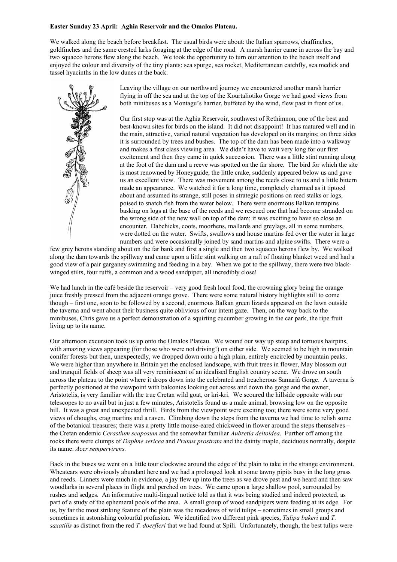## Easter Sunday 23 April: Aghia Reservoir and the Omalos Plateau.

We walked along the beach before breakfast. The usual birds were about: the Italian sparrows, chaffinches, goldfinches and the same crested larks foraging at the edge of the road. A marsh harrier came in across the bay and two squacco herons flew along the beach. We took the opportunity to turn our attention to the beach itself and enjoyed the colour and diversity of the tiny plants: sea spurge, sea rocket, Mediterranean catchfly, sea medick and tassel hyacinths in the low dunes at the back.



Leaving the village on our northward journey we encountered another marsh harrier flying in off the sea and at the top of the Kourtaliotiko Gorge we had good views from both minibuses as a Montagu's harrier, buffeted by the wind, flew past in front of us.

Our first stop was at the Aghia Reservoir, southwest of Rethimnon, one of the best and best-known sites for birds on the island. It did not disappoint! It has matured well and in the main, attractive, varied natural vegetation has developed on its margins; on three sides it is surrounded by trees and bushes. The top of the dam has been made into a walkway and makes a first class viewing area. We didn't have to wait very long for our first excitement and then they came in quick succession. There was a little stint running along at the foot of the dam and a reeve was spotted on the far shore. The bird for which the site is most renowned by Honeyguide, the little crake, suddenly appeared below us and gave us an excellent view. There was movement among the reeds close to us and a little bittern made an appearance. We watched it for a long time, completely charmed as it tiptoed about and assumed its strange, still poses in strategic positions on reed stalks or logs, poised to snatch fish from the water below. There were enormous Balkan terrapins basking on logs at the base of the reeds and we rescued one that had become stranded on the wrong side of the new wall on top of the dam; it was exciting to have so close an encounter. Dabchicks, coots, moorhens, mallards and greylags, all in some numbers, were dotted on the water. Swifts, swallows and house martins fed over the water in large numbers and were occasionally joined by sand martins and alpine swifts. There were a

few grey herons standing about on the far bank and first a single and then two squacco herons flew by. We walked along the dam towards the spillway and came upon a little stint walking on a raft of floating blanket weed and had a good view of a pair garganey swimming and feeding in a bay. When we got to the spillway, there were two blackwinged stilts, four ruffs, a common and a wood sandpiper, all incredibly close!

We had lunch in the café beside the reservoir – very good fresh local food, the crowning glory being the orange juice freshly pressed from the adjacent orange grove. There were some natural history highlights still to come though – first one, soon to be followed by a second, enormous Balkan green lizards appeared on the lawn outside the taverna and went about their business quite oblivious of our intent gaze. Then, on the way back to the minibuses, Chris gave us a perfect demonstration of a squirting cucumber growing in the car park, the ripe fruit living up to its name.

Our afternoon excursion took us up onto the Omalos Plateau. We wound our way up steep and tortuous hairpins, with amazing views appearing (for those who were not driving!) on either side. We seemed to be high in mountain conifer forests but then, unexpectedly, we dropped down onto a high plain, entirely encircled by mountain peaks. We were higher than anywhere in Britain yet the enclosed landscape, with fruit trees in flower, May blossom out and tranquil fields of sheep was all very reminiscent of an idealised English country scene. We drove on south across the plateau to the point where it drops down into the celebrated and treacherous Samariá Gorge. A taverna is perfectly positioned at the viewpoint with balconies looking out across and down the gorge and the owner, Aristotelis, is very familiar with the true Cretan wild goat, or kri-kri. We scoured the hillside opposite with our telescopes to no avail but in just a few minutes, Aristotelis found us a male animal, browsing low on the opposite hill. It was a great and unexpected thrill. Birds from the viewpoint were exciting too; there were some very good views of choughs, crag martins and a raven. Climbing down the steps from the taverna we had time to relish some of the botanical treasures; there was a pretty little mouse-eared chickweed in flower around the steps themselves – the Cretan endemic *Cerastium scaposum* and the somewhat familiar *Aubretia deltoidea*. Further off among the rocks there were clumps of *Daphne sericea* and *Prunus prostrata* and the dainty maple, deciduous normally, despite its name: *Acer sempervirens.*

Back in the buses we went on a little tour clockwise around the edge of the plain to take in the strange environment. Wheatears were obviously abundant here and we had a prolonged look at some tawny pipits busy in the long grass and reeds. Linnets were much in evidence, a jay flew up into the trees as we drove past and we heard and then saw woodlarks in several places in flight and perched on trees. We came upon a large shallow pool, surrounded by rushes and sedges. An informative multi-lingual notice told us that it was being studied and indeed protected, as part of a study of the ephemeral pools of the area. A small group of wood sandpipers were feeding at its edge. For us, by far the most striking feature of the plain was the meadows of wild tulips – sometimes in small groups and sometimes in astonishing colourful profusion. We identified two different pink species, *Tulipa bakeri* and *T. saxatilis* as distinct from the red *T. doerfleri* that we had found at Spili. Unfortunately, though, the best tulips were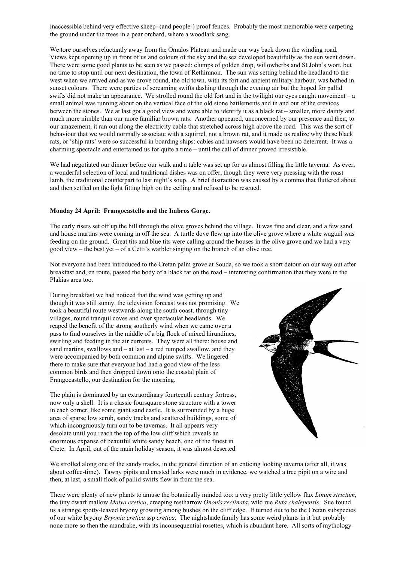inaccessible behind very effective sheep- (and people-) proof fences. Probably the most memorable were carpeting the ground under the trees in a pear orchard, where a woodlark sang.

We tore ourselves reluctantly away from the Omalos Plateau and made our way back down the winding road. Views kept opening up in front of us and colours of the sky and the sea developed beautifully as the sun went down. There were some good plants to be seen as we passed: clumps of golden drop, willowherbs and St John's wort, but no time to stop until our next destination, the town of Rethimnon. The sun was setting behind the headland to the west when we arrived and as we drove round, the old town, with its fort and ancient military harbour, was bathed in sunset colours. There were parties of screaming swifts dashing through the evening air but the hoped for pallid swifts did not make an appearance. We strolled round the old fort and in the twilight our eyes caught movement – a small animal was running about on the vertical face of the old stone battlements and in and out of the crevices between the stones. We at last got a good view and were able to identify it as a black rat – smaller, more dainty and much more nimble than our more familiar brown rats. Another appeared, unconcerned by our presence and then, to our amazement, it ran out along the electricity cable that stretched across high above the road. This was the sort of behaviour that we would normally associate with a squirrel, not a brown rat, and it made us realize why these black rats, or 'ship rats' were so successful in boarding ships: cables and hawsers would have been no deterrent. It was a charming spectacle and entertained us for quite a time – until the call of dinner proved irresistible.

We had negotiated our dinner before our walk and a table was set up for us almost filling the little taverna. As ever, a wonderful selection of local and traditional dishes was on offer, though they were very pressing with the roast lamb, the traditional counterpart to last night's soup. A brief distraction was caused by a comma that fluttered about and then settled on the light fitting high on the ceiling and refused to be rescued.

#### Monday 24 April: Frangocastello and the Imbros Gorge.

The early risers set off up the hill through the olive groves behind the village. It was fine and clear, and a few sand and house martins were coming in off the sea. A turtle dove flew up into the olive grove where a white wagtail was feeding on the ground. Great tits and blue tits were calling around the houses in the olive grove and we had a very good view – the best yet – of a Cetti's warbler singing on the branch of an olive tree.

Not everyone had been introduced to the Cretan palm grove at Souda, so we took a short detour on our way out after breakfast and, en route, passed the body of a black rat on the road – interesting confirmation that they were in the Plakias area too.

During breakfast we had noticed that the wind was getting up and though it was still sunny, the television forecast was not promising. We took a beautiful route westwards along the south coast, through tiny villages, round tranquil coves and over spectacular headlands. We reaped the benefit of the strong southerly wind when we came over a pass to find ourselves in the middle of a big flock of mixed hirundines, swirling and feeding in the air currents. They were all there: house and sand martins, swallows and – at last – a red rumped swallow, and they were accompanied by both common and alpine swifts. We lingered there to make sure that everyone had had a good view of the less common birds and then dropped down onto the coastal plain of Frangocastello, our destination for the morning.

The plain is dominated by an extraordinary fourteenth century fortress, now only a shell. It is a classic foursquare stone structure with a tower in each corner, like some giant sand castle. It is surrounded by a huge area of sparse low scrub, sandy tracks and scattered buildings, some of which incongruously turn out to be tavernas. It all appears very desolate until you reach the top of the low cliff which reveals an enormous expanse of beautiful white sandy beach, one of the finest in Crete. In April, out of the main holiday season, it was almost deserted.



We strolled along one of the sandy tracks, in the general direction of an enticing looking taverna (after all, it was about coffee-time). Tawny pipits and crested larks were much in evidence, we watched a tree pipit on a wire and then, at last, a small flock of pallid swifts flew in from the sea.

There were plenty of new plants to amuse the botanically minded too: a very pretty little yellow flax *Linum strictum*, the tiny dwarf mallow *Malva cretica*, creeping restharrow *Ononis reclinata*, wild rue *Ruta chalepensis*. Sue found us a strange spotty-leaved bryony growing among bushes on the cliff edge. It turned out to be the Cretan subspecies of our white bryony *Bryonia cretica* ssp *cretica*. The nightshade family has some weird plants in it but probably none more so then the mandrake, with its inconsequential rosettes, which is abundant here. All sorts of mythology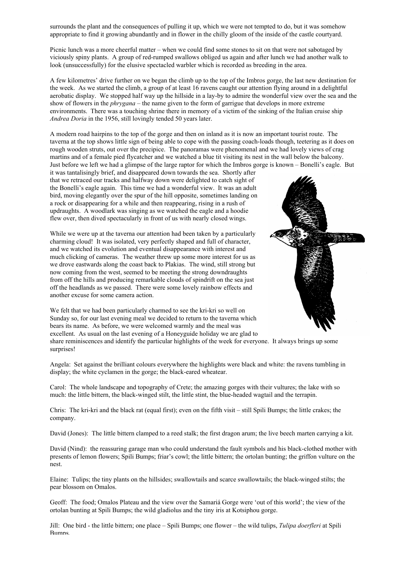surrounds the plant and the consequences of pulling it up, which we were not tempted to do, but it was somehow appropriate to find it growing abundantly and in flower in the chilly gloom of the inside of the castle courtyard.

Picnic lunch was a more cheerful matter – when we could find some stones to sit on that were not sabotaged by viciously spiny plants. A group of red-rumped swallows obliged us again and after lunch we had another walk to look (unsuccessfully) for the elusive spectacled warbler which is recorded as breeding in the area.

A few kilometres' drive further on we began the climb up to the top of the Imbros gorge, the last new destination for the week. As we started the climb, a group of at least 16 ravens caught our attention flying around in a delightful aerobatic display. We stopped half way up the hillside in a lay-by to admire the wonderful view over the sea and the show of flowers in the *phrygana* – the name given to the form of garrigue that develops in more extreme environments. There was a touching shrine there in memory of a victim of the sinking of the Italian cruise ship *Andrea Doria* in the 1956, still lovingly tended 50 years later.

A modern road hairpins to the top of the gorge and then on inland as it is now an important tourist route. The taverna at the top shows little sign of being able to cope with the passing coach-loads though, teetering as it does on rough wooden struts, out over the precipice. The panoramas were phenomenal and we had lovely views of crag martins and of a female pied flycatcher and we watched a blue tit visiting its nest in the wall below the balcony. Just before we left we had a glimpse of the large raptor for which the Imbros gorge is known – Bonelli's eagle. But

it was tantalisingly brief, and disappeared down towards the sea. Shortly after that we retraced our tracks and halfway down were delighted to catch sight of the Bonelli's eagle again. This time we had a wonderful view. It was an adult bird, moving elegantly over the spur of the hill opposite, sometimes landing on a rock or disappearing for a while and then reappearing, rising in a rush of updraughts. A woodlark was singing as we watched the eagle and a hoodie flew over, then dived spectacularly in front of us with nearly closed wings.

While we were up at the taverna our attention had been taken by a particularly charming cloud! It was isolated, very perfectly shaped and full of character, and we watched its evolution and eventual disappearance with interest and much clicking of cameras. The weather threw up some more interest for us as we drove eastwards along the coast back to Plakias. The wind, still strong but now coming from the west, seemed to be meeting the strong downdraughts from off the hills and producing remarkable clouds of spindrift on the sea just off the headlands as we passed. There were some lovely rainbow effects and another excuse for some camera action.

We felt that we had been particularly charmed to see the kri-kri so well on Sunday so, for our last evening meal we decided to return to the taverna which bears its name. As before, we were welcomed warmly and the meal was excellent. As usual on the last evening of a Honeyguide holiday we are glad to



share reminiscences and identify the particular highlights of the week for everyone. It always brings up some surprises!

Angela: Set against the brilliant colours everywhere the highlights were black and white: the ravens tumbling in display; the white cyclamen in the gorge; the black-eared wheatear.

Carol: The whole landscape and topography of Crete; the amazing gorges with their vultures; the lake with so much: the little bittern, the black-winged stilt, the little stint, the blue-headed wagtail and the terrapin.

Chris: The kri-kri and the black rat (equal first); even on the fifth visit – still Spili Bumps; the little crakes; the company.

David (Jones): The little bittern clamped to a reed stalk; the first dragon arum; the live beech marten carrying a kit.

David (Nind): the reassuring garage man who could understand the fault symbols and his black-clothed mother with presents of lemon flowers; Spili Bumps; friar's cowl; the little bittern; the ortolan bunting; the griffon vulture on the nest.

Elaine: Tulips; the tiny plants on the hillsides; swallowtails and scarce swallowtails; the black-winged stilts; the pear blossom on Omalos.

Geoff: The food; Omalos Plateau and the view over the Samariá Gorge were 'out of this world'; the view of the ortolan bunting at Spili Bumps; the wild gladiolus and the tiny iris at Kotsiphou gorge.

Jill: One bird - the little bittern; one place – Spili Bumps; one flower – the wild tulips, *Tulipa doerfleri* at Spili **Bumps.**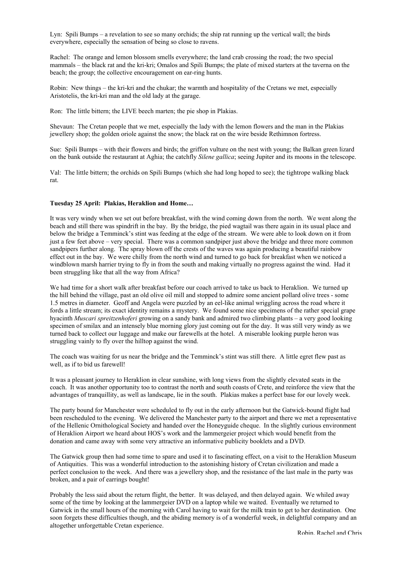Lyn: Spili Bumps – a revelation to see so many orchids; the ship rat running up the vertical wall; the birds everywhere, especially the sensation of being so close to ravens.

Rachel: The orange and lemon blossom smells everywhere; the land crab crossing the road; the two special mammals – the black rat and the kri-kri; Omalos and Spili Bumps; the plate of mixed starters at the taverna on the beach; the group; the collective encouragement on ear-ring hunts.

Robin: New things – the kri-kri and the chukar; the warmth and hospitality of the Cretans we met, especially Aristotelis, the kri-kri man and the old lady at the garage.

Ron: The little bittern; the LIVE beech marten; the pie shop in Plakias.

Shevaun: The Cretan people that we met, especially the lady with the lemon flowers and the man in the Plakias jewellery shop; the golden oriole against the snow; the black rat on the wire beside Rethimnon fortress.

Sue: Spili Bumps – with their flowers and birds; the griffon vulture on the nest with young; the Balkan green lizard on the bank outside the restaurant at Aghia; the catchfly *Silene gallica*; seeing Jupiter and its moons in the telescope.

Val: The little bittern; the orchids on Spili Bumps (which she had long hoped to see); the tightrope walking black rat.

#### Tuesday 25 April: Plakias, Heraklion and Home…

It was very windy when we set out before breakfast, with the wind coming down from the north. We went along the beach and still there was spindrift in the bay. By the bridge, the pied wagtail was there again in its usual place and below the bridge a Temminck's stint was feeding at the edge of the stream. We were able to look down on it from just a few feet above – very special. There was a common sandpiper just above the bridge and three more common sandpipers further along. The spray blown off the crests of the waves was again producing a beautiful rainbow effect out in the bay. We were chilly from the north wind and turned to go back for breakfast when we noticed a windblown marsh harrier trying to fly in from the south and making virtually no progress against the wind. Had it been struggling like that all the way from Africa?

We had time for a short walk after breakfast before our coach arrived to take us back to Heraklion. We turned up the hill behind the village, past an old olive oil mill and stopped to admire some ancient pollard olive trees - some 1.5 metres in diameter. Geoff and Angela were puzzled by an eel-like animal wriggling across the road where it fords a little stream; its exact identity remains a mystery. We found some nice specimens of the rather special grape hyacinth *Muscari spreitzenhoferi* growing on a sandy bank and admired two climbing plants – a very good looking specimen of smilax and an intensely blue morning glory just coming out for the day. It was still very windy as we turned back to collect our luggage and make our farewells at the hotel. A miserable looking purple heron was struggling vainly to fly over the hilltop against the wind.

The coach was waiting for us near the bridge and the Temminck's stint was still there. A little egret flew past as well, as if to bid us farewell!

It was a pleasant journey to Heraklion in clear sunshine, with long views from the slightly elevated seats in the coach. It was another opportunity too to contrast the north and south coasts of Crete, and reinforce the view that the advantages of tranquillity, as well as landscape, lie in the south. Plakias makes a perfect base for our lovely week.

The party bound for Manchester were scheduled to fly out in the early afternoon but the Gatwick-bound flight had been rescheduled to the evening. We delivered the Manchester party to the airport and there we met a representative of the Hellenic Ornithological Society and handed over the Honeyguide cheque. In the slightly curious environment of Heraklion Airport we heard about HOS's work and the lammergeier project which would benefit from the donation and came away with some very attractive an informative publicity booklets and a DVD.

The Gatwick group then had some time to spare and used it to fascinating effect, on a visit to the Heraklion Museum of Antiquities. This was a wonderful introduction to the astonishing history of Cretan civilization and made a perfect conclusion to the week. And there was a jewellery shop, and the resistance of the last male in the party was broken, and a pair of earrings bought!

Probably the less said about the return flight, the better. It was delayed, and then delayed again. We whiled away some of the time by looking at the lammergeier DVD on a laptop while we waited. Eventually we returned to Gatwick in the small hours of the morning with Carol having to wait for the milk train to get to her destination. One soon forgets these difficulties though, and the abiding memory is of a wonderful week, in delightful company and an altogether unforgettable Cretan experience.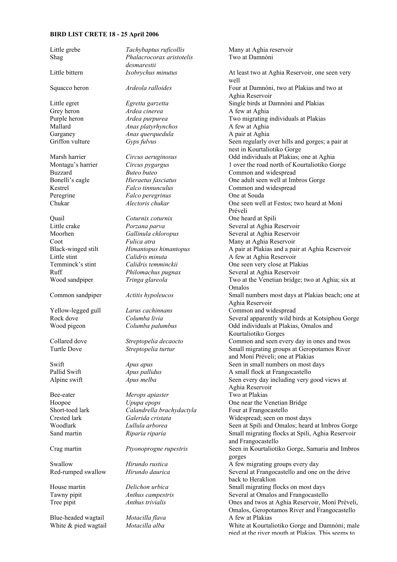# BIRD LIST CRETE 18 - 25 April 2006

| Little grebe         | Tachybaptus ruficollis    | Many at Aghia reservoir                                                        |
|----------------------|---------------------------|--------------------------------------------------------------------------------|
| Shag                 | Phalacrocorax aristotelis | Two at Damnóni                                                                 |
|                      | desmarestii               |                                                                                |
| Little bittern       | Ixobrychus minutus        | At least two at Aghia Reservoir, one seen very                                 |
|                      |                           | well                                                                           |
| Squacco heron        | Ardeola ralloides         | Four at Damnóni, two at Plakias and two at                                     |
|                      |                           | Aghia Reservoir                                                                |
| Little egret         | Egretta garzetta          | Single birds at Damnóni and Plakias                                            |
| Grey heron           | Ardea cinerea             | A few at Aghia                                                                 |
| Purple heron         | Ardea purpurea            | Two migrating individuals at Plakias                                           |
| Mallard              | Anas platyrhynchos        | A few at Aghia                                                                 |
| Garganey             | Anas querquedula          | A pair at Aghia                                                                |
| Griffon vulture      |                           |                                                                                |
|                      | Gyps fulvus               | Seen regularly over hills and gorges; a pair at<br>nest in Kourtaliotiko Gorge |
| Marsh harrier        | Circus aeruginosus        | Odd individuals at Plakias; one at Aghia                                       |
| Montagu's harrier    | Circus pygargus           | 1 over the road north of Kourtaliotiko Gorge                                   |
| <b>Buzzard</b>       | Buteo buteo               |                                                                                |
|                      |                           | Common and widespread                                                          |
| Bonelli's eagle      | Hieraetus fasciatus       | One adult seen well at Imbros Gorge                                            |
| Kestrel              | Falco tinnunculus         | Common and widespread                                                          |
| Peregrine            | Falco peregrinus          | One at Souda                                                                   |
| Chukar               | Alectoris chukar          | One seen well at Festos; two heard at Moni                                     |
|                      |                           | Préveli                                                                        |
| Quail                | Coturnix coturnix         | One heard at Spili                                                             |
| Little crake         | Porzana parva             | Several at Aghia Reservoir                                                     |
| Moorhen              | Gallinula chloropus       | Several at Aghia Reservoir                                                     |
| Coot                 | Fulica atra               | Many at Aghia Reservoir                                                        |
| Black-winged stilt   | Himantopus himantopus     | A pair at Plakias and a pair at Aghia Reservoir                                |
| Little stint         | Calidris minuta           | A few at Aghia Reservoir                                                       |
|                      |                           |                                                                                |
| Temminck's stint     | Calidris temminckii       | One seen very close at Plakias                                                 |
| Ruff                 | Philomachus pugnax        | Several at Aghia Reservoir                                                     |
| Wood sandpiper       | Tringa glareola           | Two at the Venetian bridge; two at Aghia; six at                               |
|                      |                           | Omalos                                                                         |
| Common sandpiper     | Actitis hypoleucos        | Small numbers most days at Plakias beach; one at                               |
|                      |                           | Aghia Reservoir                                                                |
| Yellow-legged gull   | Larus cachinnans          | Common and widespread                                                          |
| Rock dove            | Columba livia             | Several apparently wild birds at Kotsiphou Gorge                               |
| Wood pigeon          | Columba palumbus          | Odd individuals at Plakias, Omalos and                                         |
|                      |                           | Kourtaliotiko Gorges                                                           |
| Collared dove        | Streptopelia decaocto     | Common and seen every day in ones and twos                                     |
| <b>Turtle Dove</b>   | Streptopelia turtur       | Small migrating groups at Geropotamos River                                    |
|                      |                           |                                                                                |
|                      |                           | and Moní Préveli; one at Plakias                                               |
| Swift                | Apus apus                 | Seen in small numbers on most days                                             |
| Pallid Swift         | Apus pallidus             | A small flock at Frangocastello                                                |
| Alpine swift         | Apus melba                | Seen every day including very good views at                                    |
|                      |                           | Aghia Reservoir                                                                |
| Bee-eater            | Merops apiaster           | Two at Plakias                                                                 |
| Hoopoe               | Upupa epops               | One near the Venetian Bridge                                                   |
| Short-toed lark      | Calandrella brachydactyla | Four at Frangocastello                                                         |
| Crested lark         | Galerida cristata         | Widespread; seen on most days                                                  |
| Woodlark             | Lullula arborea           | Seen at Spili and Omalos; heard at Imbros Gorge                                |
| Sand martin          | Riparia riparia           | Small migrating flocks at Spili, Aghia Reservoir                               |
|                      |                           | and Frangocastello                                                             |
|                      |                           |                                                                                |
| Crag martin          | Ptyonoprogne rupestris    | Seen in Kourtaliotiko Gorge, Samaria and Imbros                                |
|                      |                           | gorges                                                                         |
| Swallow              | Hirundo rustica           | A few migrating groups every day                                               |
| Red-rumped swallow   | Hirundo daurica           | Several at Frangocastello and one on the drive                                 |
|                      |                           | back to Heraklion                                                              |
| House martin         | Delichon urbica           | Small migrating flocks on most days                                            |
| Tawny pipit          | Anthus campestris         | Several at Omalos and Frangocastello                                           |
| Tree pipit           | Anthus trivialis          | Ones and twos at Aghia Reservoir, Moní Préveli,                                |
|                      |                           | Omalos, Geropotamos River and Frangocastello                                   |
| Blue-headed wagtail  | Motacilla flava           | A few at Plakias                                                               |
| White & pied wagtail | Motacilla alba            | White at Kourtaliotiko Gorge and Damnóni; male                                 |
|                      |                           | nied at the river mouth at Plakias. This seems to                              |
|                      |                           |                                                                                |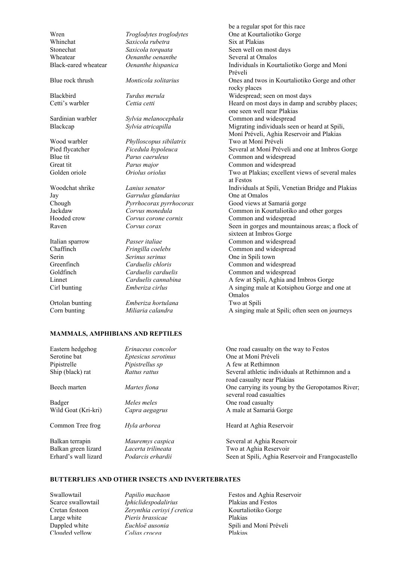Blue rock thrush *Monticola solitarius* Ones and twos in Kourtaliotiko Gorge and other

Blackbird *Turdus merula* Widespread; seen on most days Cetti's warbler *Cettia cetti Action Cettia cetti* **Heard on most days in damp and scrubby places;** 

Raven *Corvus corax* Seen in gorges and mountainous areas; a flock of

Ortolan bunting *Emberiza hortulana* Two at Spili

Wren *Troglodytes troglodytes* One at Kourtaliotiko Gorge Whinchat *Saxicola rubetra* Six at Plakias Stonechat *Saxicola torquata* Seen well on most days **Wheatear** *Oenanthe oenanthe* Several at Omalos Black-eared wheatear *Oenanthe hispanica* Individuals in Kourtaliotiko Gorge and Moní

Sardinian warbler *Sylvia melanocephala* Common and widespread Blackcap *Sylvia atricapilla* Migrating individuals seen or heard at Spili,

Wood warbler *Phylloscopus sibilatrix* Two at Moní Préveli Pied flycatcher *Ficedula hypoleuca* Several at Moní Préveli and one at Imbros Gorge Blue tit *Parus caeruleus* Common and widespread Great tit *Parus major* Common and widespread Golden oriole *Oriolus oriolus* Two at Plakias; excellent views of several males

Woodchat shrike *Lanius senator* Individuals at Spili, Venetian Bridge and Plakias Jay *Garrulus glandarius* One at Omalos Chough *Pyrrhocorax pyrrhocorax* Good views at Samariá gorge Jackdaw *Corvus monedula* Common in Kourtaliotiko and other gorges Hooded crow *Corvus corone cornix* Common and widespread

Italian sparrow *Passer italiae* Common and widespread Chaffinch *Fringilla coelebs* Common and widespread Serin *Serinus serinus* One in Spili town Greenfinch *Carduelis chloris* Common and widespread Goldfinch *Carduelis carduelis* Common and widespread Linnet *Carduelis cannabina* A few at Spili, Aghia and Imbros Gorge Cirl bunting *Emberiza cirlus* A singing male at Kotsiphou Gorge and one at

Corn bunting *Miliaria calandra* A singing male at Spili; often seen on journeys

# MAMMALS, AMPHIBIANS AND REPTILES

Eastern hedgehog *Erinaceus concolor* One road casualty on the way to Festos Serotine bat *Eptesicus serotinus* One at Moní Préveli Pipistrelle *Pipistrellus sp* A few at Rethimnon Ship (black) rat *Rattus rattus* Several athletic individuals at Rethimnon and a road casualty near Plakias Beech marten *Martes fiona* One carrying its young by the Geropotamos River; several road casualties **Badger** *Meles meles* **One road casualty One road casualty** Wild Goat (Kri-kri) *Capra aegagrus* A male at Samariá Gorge Common Tree frog *Hyla arborea* Heard at Aghia Reservoir Balkan terrapin *Mauremys caspica* Several at Aghia Reservoir<br>Balkan green lizard *Lacerta trilineata* Two at Aghia Reservoir Lacerta trilineata Two at Aghia Reservoir Erhard's wall lizard *Podarcis erhardii* Seen at Spili, Aghia Reservoir and Frangocastello

## BUTTERFLIES AND OTHER INSECTS AND INVERTEBRATES

Scarce swallowtail *Iphiclidespodalirius* Plakias and Festos Cretan festoon *Zerynthia cerisyi f cretica* Kourtaliotiko Gorge Large white *Pieris brassicae* Plakias Dappled white *Euchloë ausonia* Spili and Moní Préveli Clouded yellow *Colias crocea* Plakias

Swallowtail *Papilio machaon* Festos and Aghia Reservoir

be a regular spot for this race

one seen well near Plakias

sixteen at Imbros Gorge

Moní Préveli, Aghia Reservoir and Plakias

Préveli

rocky places

at Festos

Omalos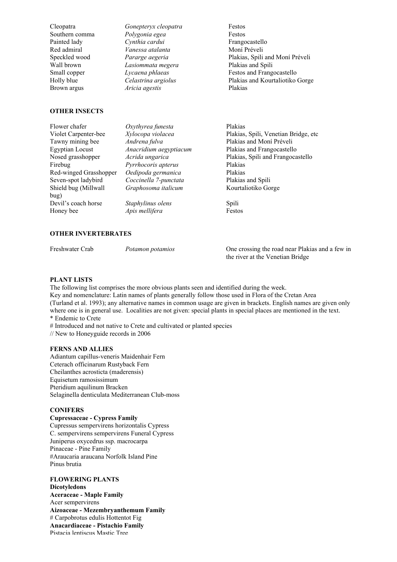Cleopatra *Gonepteryx cleopatra* Festos Southern comma *Polygonia egea* Festos Painted lady *Cynthia cardui* Frangocastello Red admiral *Vanessa atalanta* Moní Préveli Wall brown *Lasiommata megera* Brown argus *Aricia agestis* Plakias

Speckled wood *Pararge aegeria* Plakias, Spili and Moní Préveli Small copper *Lycaena phlaeas* Festos and Frangocastello Holly blue *Celastrina argiolus* Plakias and Kourtaliotiko Gorge

#### OTHER INSECTS

| Flower chafer          | Oxythyrea funesta      | Plakias                               |
|------------------------|------------------------|---------------------------------------|
| Violet Carpenter-bee   | Xylocopa violacea      | Plakias, Spili, Venetian Bridge, etc. |
| Tawny mining bee       | Andrena fulva          | Plakias and Moni Préveli              |
| <b>Egyptian Locust</b> | Anacridium aegyptiacum | Plakias and Frangocastello            |
| Nosed grasshopper      | Acrida ungarica        | Plakias, Spili and Frangocastello     |
| Firebug                | Pyrrhocoris apterus    | Plakias                               |
| Red-winged Grasshopper | Oedipoda germanica     | Plakias                               |
| Seven-spot ladybird    | Coccinella 7-punctata  | Plakias and Spili                     |
| Shield bug (Millwall   | Graphosoma italicum    | Kourtaliotiko Gorge                   |
| bug)                   |                        |                                       |
| Devil's coach horse    | Staphylinus olens      | <b>Spili</b>                          |
| Honey bee              | Apis mellifera         | Festos                                |
|                        |                        |                                       |

# OTHER INVERTEBRATES

Freshwater Crab *Potamon potamios* One crossing the road near Plakias and a few in the river at the Venetian Bridge

## PLANT LISTS

The following list comprises the more obvious plants seen and identified during the week. Key and nomenclature: Latin names of plants generally follow those used in Flora of the Cretan Area (Turland et al. 1993); any alternative names in common usage are given in brackets. English names are given only where one is in general use. Localities are not given: special plants in special places are mentioned in the text. \* Endemic to Crete

# Introduced and not native to Crete and cultivated or planted species

// New to Honeyguide records in 2006

#### FERNS AND ALLIES

Adiantum capillus-veneris Maidenhair Fern Ceterach officinarum Rustyback Fern Cheilanthes acrosticta (maderensis) Equisetum ramosissimum Pteridium aquilinum Bracken Selaginella denticulata Mediterranean Club-moss

## CONIFERS

Cupressaceae - Cypress Family Cupressus sempervirens horizontalis Cypress C. sempervirens sempervirens Funeral Cypress Juniperus oxycedrus ssp. macrocarpa Pinaceae - Pine Family #Araucaria araucana Norfolk Island Pine Pinus brutia

# FLOWERING PLANTS

Dicotyledons Aceraceae - Maple Family Acer sempervirens Aizoaceae - Mezembryanthemum Family # Carpobrotus edulis Hottentot Fig Anacardiaceae - Pistachio Family Pistacia lentiscus Mastic Tree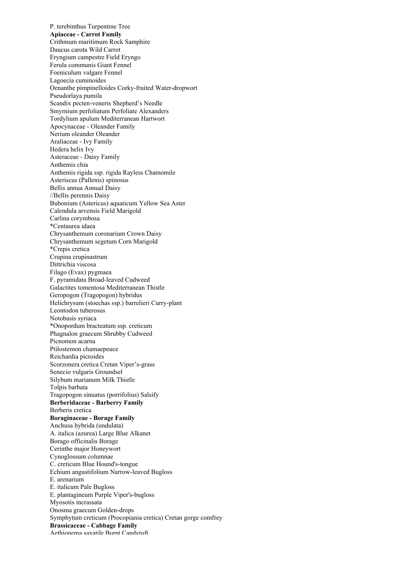P. terebinthus Turpentine Tree Apiaceae - Carrot Family Crithmum maritimum Rock Samphire Daucus carota Wild Carrot Eryngium campestre Field Eryngo Ferula communis Giant Fennel Foeniculum vulgare Fennel Lagoecia cuminoides Oenanthe pimpinelloides Corky-fruited Water-dropwort Pseudorlaya pumila Scandix pecten-veneris Shepherd's Needle Smyrnium perfoliatum Perfoliate Alexanders Tordylium apulum Mediterranean Hartwort Apocynaceae - Oleander Family Nerium oleander Oleander Araliaceae - Ivy Family Hedera helix Ivy Asteraceae - Daisy Family Anthemis chia Anthemis rigida ssp. rigida Rayless Chamomile Asteriscus (Pallenis) spinosus Bellis annua Annual Daisy //Bellis perennis Daisy Bubonium (Astericus) aquaticum Yellow Sea Aster Calendula arvensis Field Marigold Carlina corymbosa \*Centaurea idaea Chrysanthemum coronarium Crown Daisy Chrysanthemum segetum Corn Marigold \*Crepis cretica Crupina crupinastrum Dittrichia viscosa Filago (Evax) pygmaea F. pyramidata Broad-leaved Cudweed Galactites tomentosa Mediterranean Thistle Geropogon (Tragopogon) hybridus Helichrysum (stoechas ssp.) barrelieri Curry-plant Leontodon tuberosus Notobasis syriaca \*Onopordum bracteatum ssp. creticum Phagnalon graecum Shrubby Cudweed Picnomon acarna Ptilostemon chamaepeuce Reichardia picroides Scorzonera cretica Cretan Viper's-grass Senecio vulgaris Groundsel Silybum marianum Milk Thistle Tolpis barbata Tragopogon sinuatus (porrifolius) Salsify Berberidaceae - Barberry Family Berberis cretica Boraginaceae - Borage Family Anchusa hybrida (undulata) A. italica (azurea) Large Blue Alkanet Borago officinalis Borage Cerinthe major Honeywort Cynoglossum columnae C. creticum Blue Hound's-tongue Echium angustifolium Narrow-leaved Bugloss E. arenarium E. italicum Pale Bugloss E. plantagineum Purple Viper's-bugloss Myosotis incrassata Onosma graecum Golden-drops Symphytum creticum (Procopiania cretica) Cretan gorge comfrey Brassicaceae - Cabbage Family Aethionema saxatile Burnt Candytuft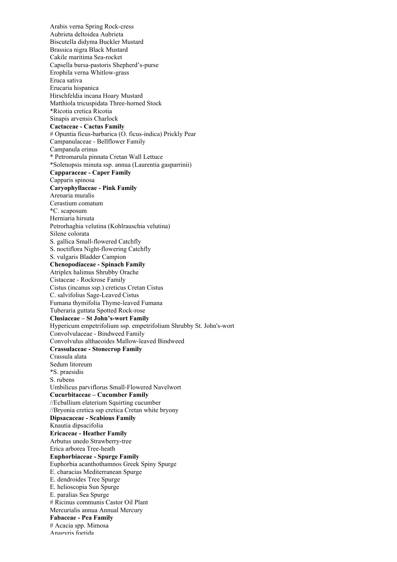Arabis verna Spring Rock-cress Aubrieta deltoidea Aubrieta Biscutella didyma Buckler Mustard Brassica nigra Black Mustard Cakile maritima Sea-rocket Capsella bursa-pastoris Shepherd's-purse Erophila verna Whitlow-grass Eruca sativa Erucaria hispanica Hirschfeldia incana Hoary Mustard Matthiola tricuspidata Three-horned Stock \*Ricotia cretica Ricotia Sinapis arvensis Charlock Cactaceae - Cactus Family # Opuntia ficus-barbarica (O. ficus-indica) Prickly Pear Campanulaceae - Bellflower Family Campanula erinus \* Petromarula pinnata Cretan Wall Lettuce \*Solenopsis minuta ssp. annua (Laurentia gasparrinii) Capparaceae - Caper Family Capparis spinosa Caryophyllaceae - Pink Family Arenaria muralis Cerastium comatum \*C. scaposum Herniaria hirsuta Petrorhaghia velutina (Kohlrauschia velutina) Silene colorata S. gallica Small-flowered Catchfly S. noctiflora Night-flowering Catchfly S. vulgaris Bladder Campion Chenopodiaceae - Spinach Family Atriplex halimus Shrubby Orache Cistaceae - Rockrose Family Cistus (incanus ssp.) creticus Cretan Cistus C. salvifolius Sage-Leaved Cistus Fumana thymifolia Thyme-leaved Fumana Tuberaria guttata Spotted Rock-rose Clusiaceae – St John's-wort Family Hypericum empetrifolium ssp. empetrifolium Shrubby St. John's-wort Convolvulaceae - Bindweed Family Convolvulus althaeoides Mallow-leaved Bindweed Crassulaceae - Stonecrop Family Crassula alata Sedum litoreum \*S. praesidis S. rubens Umbilicus parviflorus Small-Flowered Navelwort Cucurbitaceae – Cucumber Family //Ecballium elaterium Squirting cucumber //Bryonia cretica ssp cretica Cretan white bryony Dipsacaceae - Scabious Family Knautia dipsacifolia Ericaceae - Heather Family Arbutus unedo Strawberry-tree Erica arborea Tree-heath Euphorbiaceae - Spurge Family Euphorbia acanthothamnos Greek Spiny Spurge E. characias Mediterranean Spurge E. dendroides Tree Spurge E. helioscopia Sun Spurge E. paralias Sea Spurge # Ricinus communis Castor Oil Plant Mercurialis annua Annual Mercury Fabaceae - Pea Family # Acacia spp. Mimosa Anagyris foetida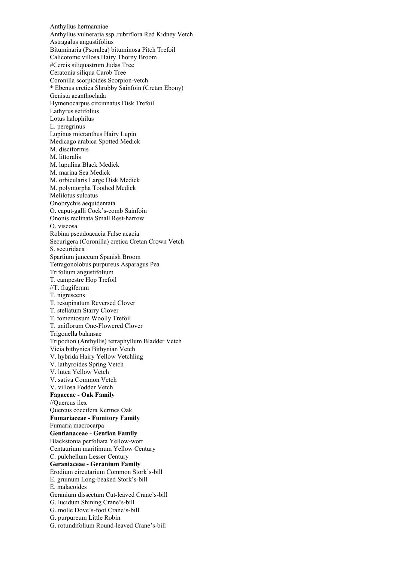Anthyllus hermanniae Anthyllus vulneraria ssp..rubriflora Red Kidney Vetch Astragalus angustifolius Bituminaria (Psoralea) bituminosa Pitch Trefoil Calicotome villosa Hairy Thorny Broom #Cercis siliquastrum Judas Tree Ceratonia siliqua Carob Tree Coronilla scorpioides Scorpion-vetch \* Ebenus cretica Shrubby Sainfoin (Cretan Ebony) Genista acanthoclada Hymenocarpus circinnatus Disk Trefoil Lathyrus setifolius Lotus halophilus L. peregrinus Lupinus micranthus Hairy Lupin Medicago arabica Spotted Medick M. disciformis M. littoralis M. lupulina Black Medick M. marina Sea Medick M. orbicularis Large Disk Medick M. polymorpha Toothed Medick Melilotus sulcatus Onobrychis aequidentata O. caput-galli Cock's-comb Sainfoin Ononis reclinata Small Rest-harrow O. viscosa Robina pseudoacacia False acacia Securigera (Coronilla) cretica Cretan Crown Vetch S. securidaca Spartium junceum Spanish Broom Tetragonolobus purpureus Asparagus Pea Trifolium angustifolium T. campestre Hop Trefoil //T. fragiferum T. nigrescens T. resupinatum Reversed Clover T. stellatum Starry Clover T. tomentosum Woolly Trefoil T. uniflorum One-Flowered Clover Trigonella balansae Tripodion (Anthyllis) tetraphyllum Bladder Vetch Vicia bithynica Bithynian Vetch V. hybrida Hairy Yellow Vetchling V. lathyroides Spring Vetch V. lutea Yellow Vetch V. sativa Common Vetch V. villosa Fodder Vetch Fagaceae - Oak Family //Quercus ilex Quercus coccifera Kermes Oak Fumariaceae - Fumitory Family Fumaria macrocarpa Gentianaceae - Gentian Family Blackstonia perfoliata Yellow-wort Centaurium maritimum Yellow Century C. pulchellum Lesser Century Geraniaceae - Geranium Family Erodium circutarium Common Stork's-bill E. gruinum Long-beaked Stork's-bill E. malacoides Geranium dissectum Cut-leaved Crane's-bill G. lucidum Shining Crane's-bill G. molle Dove's-foot Crane's-bill G. purpureum Little Robin G. rotundifolium Round-leaved Crane's-bill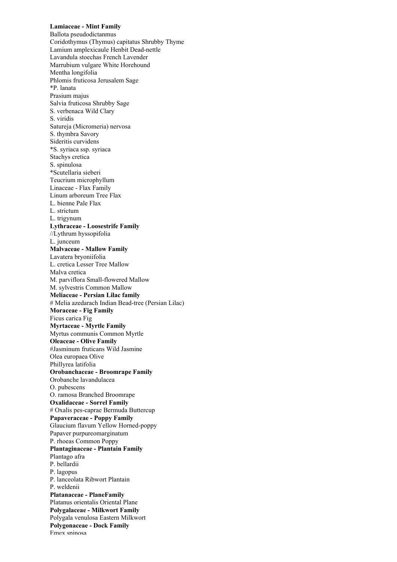Lamiaceae - Mint Family Ballota pseudodictanmus Coridothymus (Thymus) capitatus Shrubby Thyme Lamium amplexicaule Henbit Dead-nettle Lavandula stoechas French Lavender Marrubium vulgare White Horehound Mentha longifolia Phlomis fruticosa Jerusalem Sage \*P. lanata Prasium majus Salvia fruticosa Shrubby Sage S. verbenaca Wild Clary S. viridis Satureja (Micromeria) nervosa S. thymbra Savory Sideritis curvidens \*S. syriaca ssp. syriaca Stachys cretica S. spinulosa \*Scutellaria sieberi Teucrium microphyllum Linaceae - Flax Family Linum arboreum Tree Flax L. bienne Pale Flax L. strictum L. trigynum Lythraceae - Loosestrife Family //Lythrum hyssopifolia L. junceum Malvaceae - Mallow Family Lavatera bryoniifolia L. cretica Lesser Tree Mallow Malva cretica M. parviflora Small-flowered Mallow M. sylvestris Common Mallow Meliaceae - Persian Lilac family # Melia azedarach Indian Bead-tree (Persian Lilac) Moraceae - Fig Family Ficus carica Fig Myrtaceae - Myrtle Family Myrtus communis Common Myrtle Oleaceae - Olive Family #Jasminum fruticans Wild Jasmine Olea europaea Olive Phillyrea latifolia Orobanchaceae - Broomrape Family Orobanche lavandulacea O. pubescens O. ramosa Branched Broomrape Oxalidaceae - Sorrel Family # Oxalis pes-caprae Bermuda Buttercup Papaveraceae - Poppy Family Glaucium flavum Yellow Horned-poppy Papaver purpureomarginatum P. rhoeas Common Poppy Plantaginaceae - Plantain Family Plantago afra P. bellardii P. lagopus P. lanceolata Ribwort Plantain P. weldenii Platanaceae - PlaneFamily Platanus orientalis Oriental Plane Polygalaceae - Milkwort Family Polygala venulosa Eastern Milkwort Polygonaceae - Dock Family Emex sninosa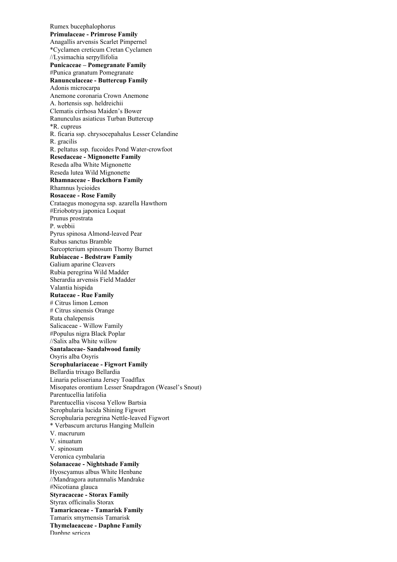Rumex bucephalophorus Primulaceae - Primrose Family Anagallis arvensis Scarlet Pimpernel \*Cyclamen creticum Cretan Cyclamen //Lysimachia serpyllifolia Punicaceae – Pomegranate Family #Punica granatum Pomegranate Ranunculaceae - Buttercup Family Adonis microcarpa Anemone coronaria Crown Anemone A. hortensis ssp. heldreichii Clematis cirrhosa Maiden's Bower Ranunculus asiaticus Turban Buttercup \*R. cupreus R. ficaria ssp. chrysocepahalus Lesser Celandine R. gracilis R. peltatus ssp. fucoides Pond Water-crowfoot Resedaceae - Mignonette Family Reseda alba White Mignonette Reseda lutea Wild Mignonette Rhamnaceae - Buckthorn Family Rhamnus lycioides Rosaceae - Rose Family Crataegus monogyna ssp. azarella Hawthorn #Eriobotrya japonica Loquat Prunus prostrata P. webbii Pyrus spinosa Almond-leaved Pear Rubus sanctus Bramble Sarcopterium spinosum Thorny Burnet Rubiaceae - Bedstraw Family Galium aparine Cleavers Rubia peregrina Wild Madder Sherardia arvensis Field Madder Valantia hispida Rutaceae - Rue Family # Citrus limon Lemon # Citrus sinensis Orange Ruta chalepensis Salicaceae - Willow Family #Populus nigra Black Poplar //Salix alba White willow Santalaceae- Sandalwood family Osyris alba Osyris Scrophulariaceae - Figwort Family Bellardia trixago Bellardia Linaria pelisseriana Jersey Toadflax Misopates orontium Lesser Snapdragon (Weasel's Snout) Parentucellia latifolia Parentucellia viscosa Yellow Bartsia Scrophularia lucida Shining Figwort Scrophularia peregrina Nettle-leaved Figwort \* Verbascum arcturus Hanging Mullein V. macrurum V. sinuatum V. spinosum Veronica cymbalaria Solanaceae - Nightshade Family Hyoscyamus albus White Henbane //Mandragora autumnalis Mandrake #Nicotiana glauca Styracaceae - Storax Family Styrax officinalis Storax Tamaricaceae - Tamarisk Family Tamarix smyrnensis Tamarisk Thymelaeaceae - Daphne Family Danhne sericea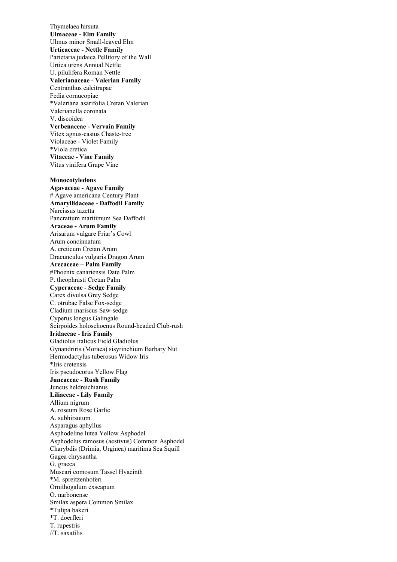Thymelaea hirsuta Ulmaceae - Elm Family Ulmus minor Small-leaved Elm Urticaceae - Nettle Family Parietaria judaica Pellitory of the Wall Urtica urens Annual Nettle U. pilulifera Roman Nettle Valerianaceae - Valerian Family Centranthus calcitrapae Fedia cornucopiae \*Valeriana asarifolia Cretan Valerian Valerianella coronata V. discoidea Verbenaceae - Vervain Family Vitex agnus-castus Chaste-tree Violaceae - Violet Family \*Viola cretica Vitaceae - Vine Family Vitus vinifera Grape Vine Monocotyledons Agavaceae - Agave Family # Agave americana Century Plant Amaryllidaceae - Daffodil Family Narcissus tazetta Pancratium maritimum Sea Daffodil Araceae - Arum Family Arisarum vulgare Friar's Cowl Arum concinnatum A. creticum Cretan Arum Dracunculus vulgaris Dragon Arum Arecaceae – Palm Family #Phoenix canariensis Date Palm P. theophrasti Cretan Palm Cyperaceae - Sedge Family Carex divulsa Grey Sedge C. otrubae False Fox-sedge Cladium mariscus Saw-sedge Cyperus longus Galingale Scirpoides holoschoenus Round-headed Club-rush Iridaceae - Iris Family Gladiolus italicus Field Gladiolus Gynandriris (Moraea) sisyrinchium Barbary Nut Hermodactylus tuberosus Widow Iris \*Iris cretensis Iris pseudocorus Yellow Flag Juncaceae - Rush Family Juncus heldreichianus Liliaceae - Lily Family Allium nigrum A. roseum Rose Garlic A. subhirsutum Asparagus aphyllus Asphodeline lutea Yellow Asphodel Asphodelus ramosus (aestivus) Common Asphodel Charybdis (Drimia, Urginea) maritima Sea Squill Gagea chrysantha G. graeca Muscari comosum Tassel Hyacinth \*M. spreitzenhoferi Ornithogalum exscapum O. narbonense Smilax aspera Common Smilax \*Tulipa bakeri \*T. doerfleri T. rupestris //T. saxatilis